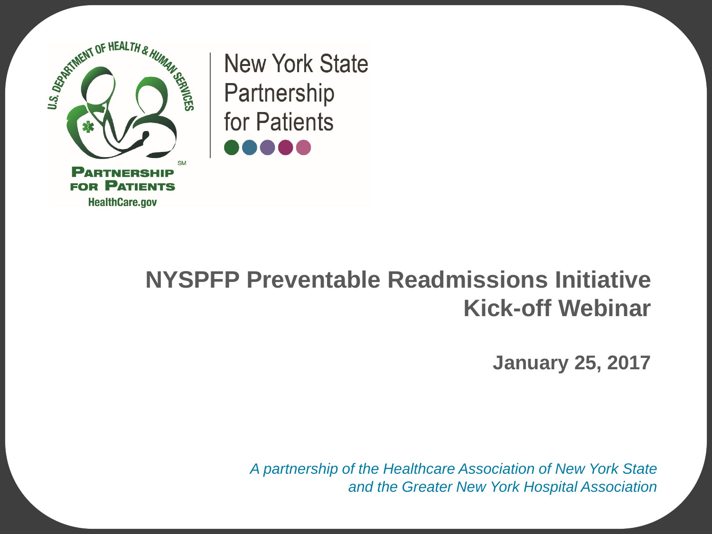

**New York State** Partnership for Patients

#### **NYSPFP Preventable Readmissions Initiative Kick-off Webinar**

**January 25, 2017**

*A partnership of the Healthcare Association of New York State and the Greater New York Hospital Association*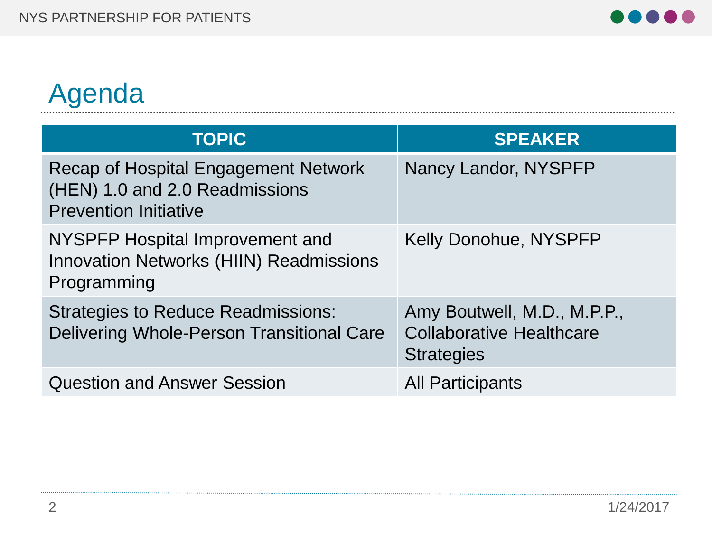## Agenda

| <b>TOPIC</b>                                                                                                  | <b>SPEAKER</b>                                                                      |
|---------------------------------------------------------------------------------------------------------------|-------------------------------------------------------------------------------------|
| <b>Recap of Hospital Engagement Network</b><br>(HEN) 1.0 and 2.0 Readmissions<br><b>Prevention Initiative</b> | Nancy Landor, NYSPFP                                                                |
| <b>NYSPFP Hospital Improvement and</b><br><b>Innovation Networks (HIIN) Readmissions</b><br>Programming       | <b>Kelly Donohue, NYSPFP</b>                                                        |
| <b>Strategies to Reduce Readmissions:</b><br>Delivering Whole-Person Transitional Care                        | Amy Boutwell, M.D., M.P.P.,<br><b>Collaborative Healthcare</b><br><b>Strategies</b> |
| <b>Question and Answer Session</b>                                                                            | <b>All Participants</b>                                                             |

. . . . . .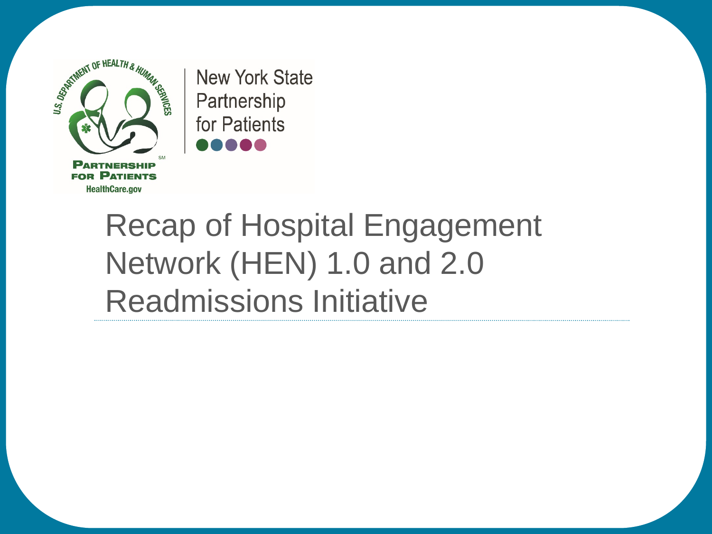

**New York State** Partnership for Patients

# Recap of Hospital Engagement Network (HEN) 1.0 and 2.0 Readmissions Initiative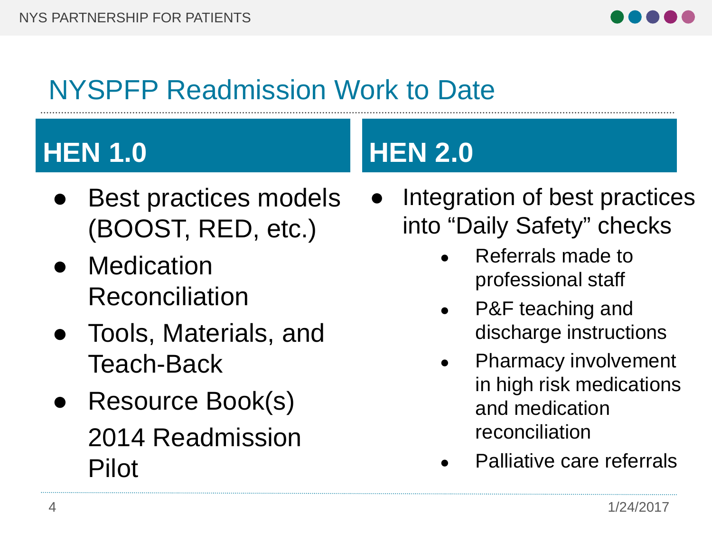

## NYSPFP Readmission Work to Date

# **HEN 1.0 HEN 2.0**

- Best practices models (BOOST, RED, etc.)
- Medication Reconciliation
- Tools, Materials, and Teach-Back
- Resource Book(s) 2014 Readmission Pilot

- Integration of best practices into "Daily Safety" checks
	- Referrals made to professional staff
	- P&F teaching and discharge instructions
	- Pharmacy involvement in high risk medications and medication reconciliation
	- Palliative care referrals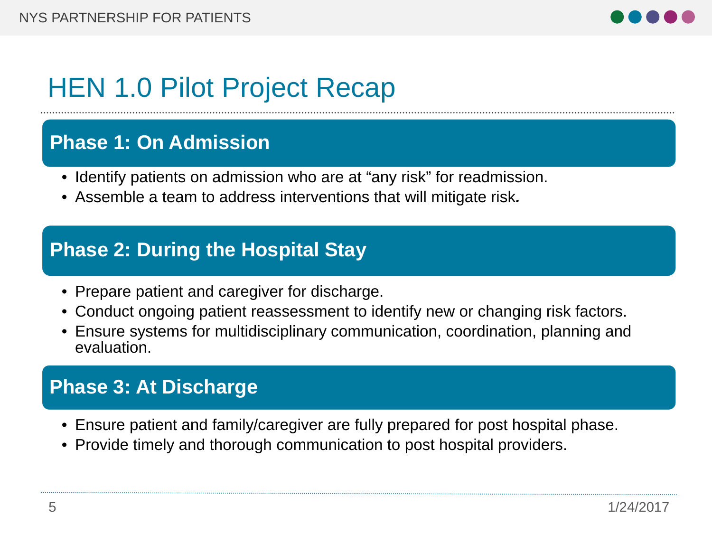

## HEN 1.0 Pilot Project Recap

#### **Phase 1: On Admission**

- Identify patients on admission who are at "any risk" for readmission.
- Assemble a team to address interventions that will mitigate risk*.*

#### **Phase 2: During the Hospital Stay**

- Prepare patient and caregiver for discharge.
- Conduct ongoing patient reassessment to identify new or changing risk factors.
- Ensure systems for multidisciplinary communication, coordination, planning and evaluation.

#### **Phase 3: At Discharge**

- Ensure patient and family/caregiver are fully prepared for post hospital phase.
- Provide timely and thorough communication to post hospital providers.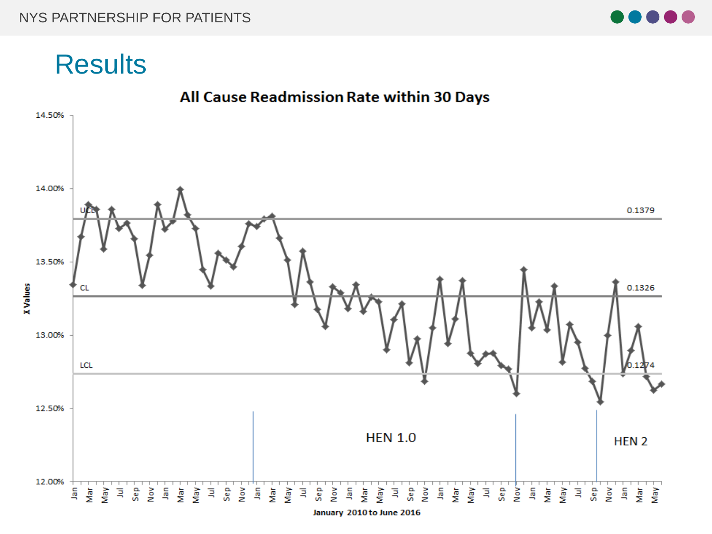

#### **Results**

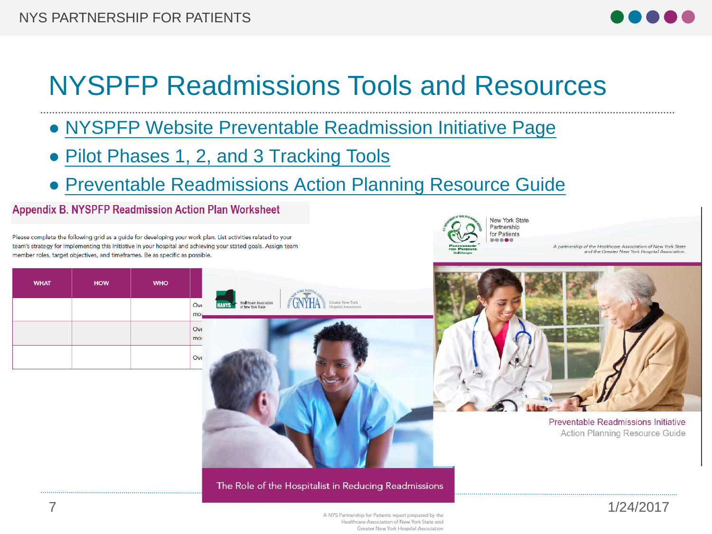

## NYSPFP Readmissions Tools and Resources

- NYSPFP [Website Preventable Readmission Initiative Page](https://www.nyspfp.org/Members/Initiatives/Readmissions/Overview.aspx)
- Pilot Phases 1, 2, [and 3 Tracking Tools](https://www.nyspfp.org/Members/Initiatives/Readmissions/Tools.aspx)
- Preventable Readmissions [Action Planning Resource Guide](https://www.nyspfp.org/Materials/NYSPFP_Readmissions_Resource_Guide.pdf)

**Appendix B. NYSPFP Readmission Action Plan Worksheet** 

Please complete the following grid as a guide for developing your work plan. List activities related to your team's strategy for implementing this initiative in your hospital and achieving your stated goals. Assign team member roles, target objectives, and timeframes. Be as specific as possible.

|            | <b>New York State</b><br>Partnership<br>for Patients |
|------------|------------------------------------------------------|
| <b>Day</b> |                                                      |

A partnership of the Healthcare Association of New York State and the Greater New York Hospital Association

Preventable Readmissions Initiative **Action Planning Resource Guide** 

| <b>WHAT</b> | <b>HOW</b> | <b>WHO</b> |            |
|-------------|------------|------------|------------|
|             |            |            | Ove<br>mor |
|             |            |            | Ove<br>mor |
|             |            |            | Ove        |



The Role of the Hospitalist in Reducing Readmissions



Healthcare Association of New York State and Greater New York Hospital Association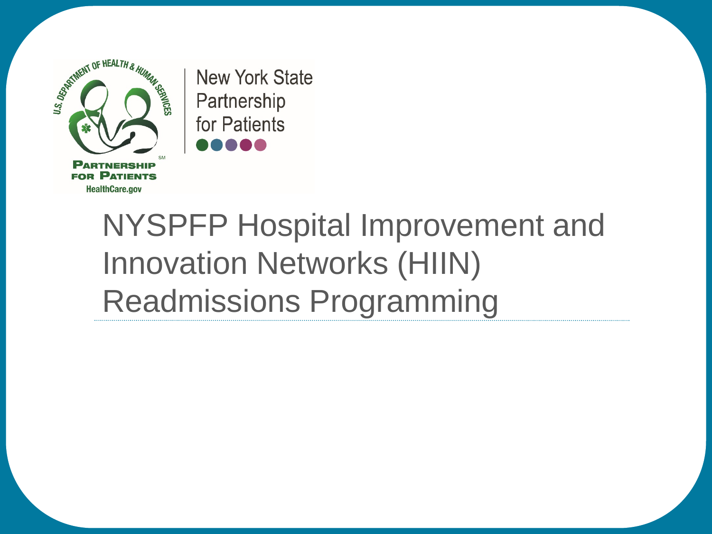

**New York State** Partnership for Patients

# NYSPFP Hospital Improvement and Innovation Networks (HIIN) Readmissions Programming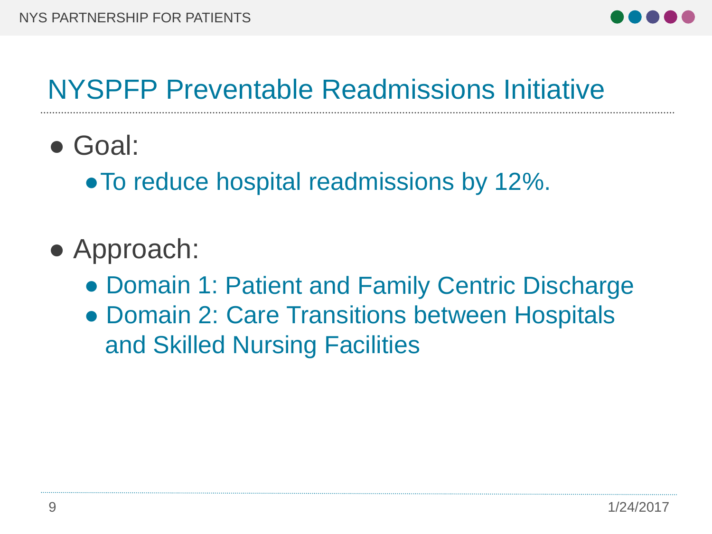

#### NYSPFP Preventable Readmissions Initiative

● Goal:

● To reduce hospital readmissions by 12%.

- Approach:
	- Domain 1: Patient and Family Centric Discharge
	- Domain 2: Care Transitions between Hospitals and Skilled Nursing Facilities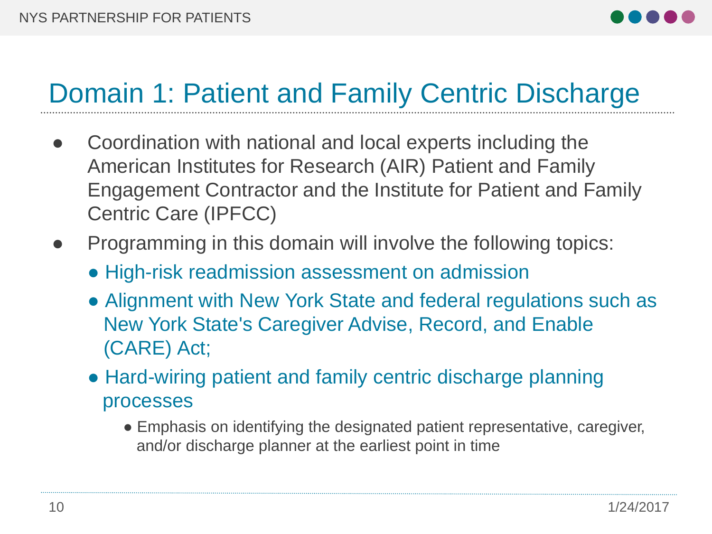

## Domain 1: Patient and Family Centric Discharge

- Coordination with national and local experts including the American Institutes for Research (AIR) Patient and Family Engagement Contractor and the Institute for Patient and Family Centric Care (IPFCC)
- Programming in this domain will involve the following topics:
	- High-risk readmission assessment on admission
	- Alignment with New York State and federal regulations such as New York State's Caregiver Advise, Record, and Enable (CARE) Act;
	- Hard-wiring patient and family centric discharge planning processes
		- Emphasis on identifying the designated patient representative, caregiver, and/or discharge planner at the earliest point in time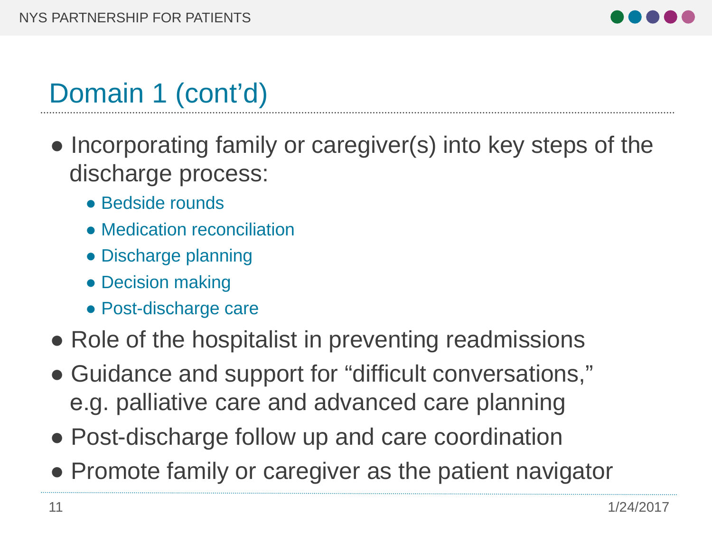

## Domain 1 (cont'd)

- Incorporating family or caregiver(s) into key steps of the discharge process:
	- Bedside rounds
	- Medication reconciliation
	- Discharge planning
	- Decision making
	- Post-discharge care
- Role of the hospitalist in preventing readmissions
- Guidance and support for "difficult conversations," e.g. palliative care and advanced care planning
- Post-discharge follow up and care coordination
- Promote family or caregiver as the patient navigator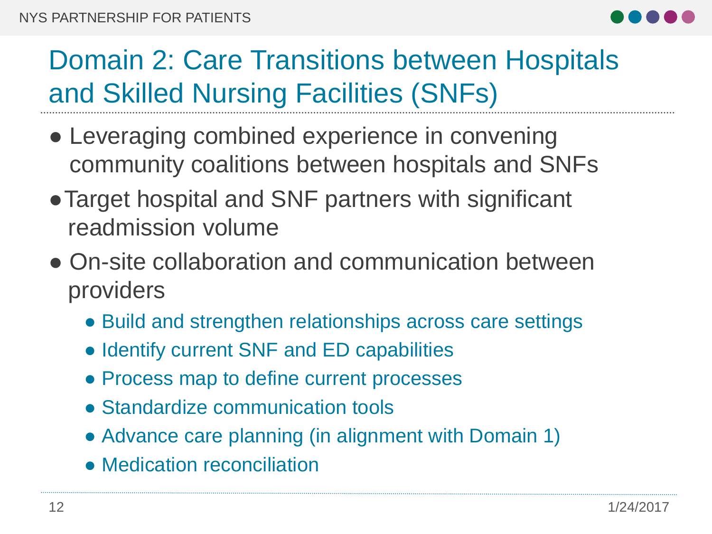

## Domain 2: Care Transitions between Hospitals and Skilled Nursing Facilities (SNFs)

- Leveraging combined experience in convening community coalitions between hospitals and SNFs
- Target hospital and SNF partners with significant readmission volume
- On-site collaboration and communication between providers
	- Build and strengthen relationships across care settings
	- Identify current SNF and ED capabilities
	- Process map to define current processes
	- Standardize communication tools
	- Advance care planning (in alignment with Domain 1)
	- Medication reconciliation